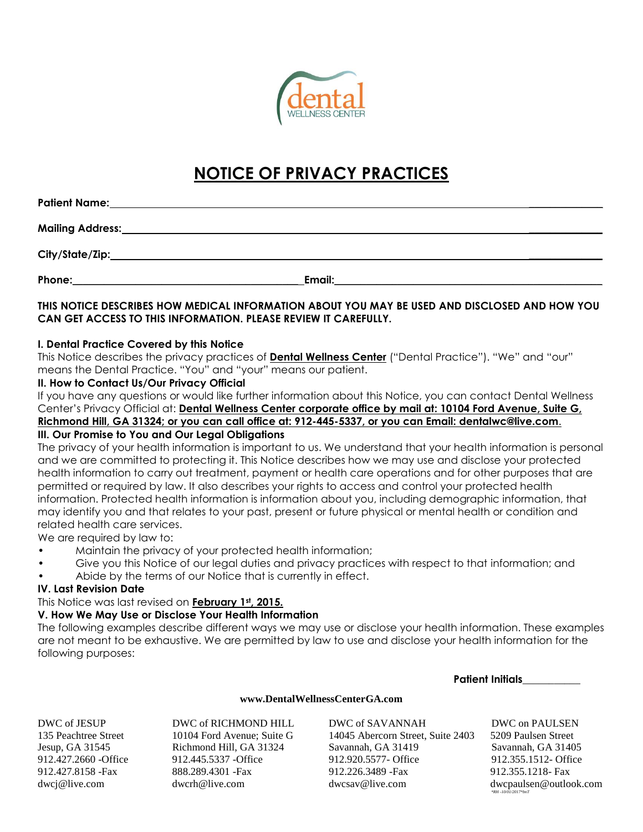

# **NOTICE OF PRIVACY PRACTICES**

| Phone: <u>www.community.com and the set of the set of the set of the set of the set of the set of the set of the set of the set of the set of the set of the set of the set of the set of the set of the set of the set of the s</u> |                                                                                               |  |
|--------------------------------------------------------------------------------------------------------------------------------------------------------------------------------------------------------------------------------------|-----------------------------------------------------------------------------------------------|--|
|                                                                                                                                                                                                                                      | THIS NOTICE DESCRIBES HOW MEDICAL INFORMATION ABOUT YOU MAY BE USED AND DISCLOSED AND HOW YOU |  |
|                                                                                                                                                                                                                                      | CAN GET ACCESS TO THIS INFORMATION. PLEASE REVIEW IT CAREFULLY.                               |  |

## **I. Dental Practice Covered by this Notice**

This Notice describes the privacy practices of **Dental Wellness Center** ("Dental Practice"). "We" and "our" means the Dental Practice. "You" and "your" means our patient.

## **II. How to Contact Us/Our Privacy Official**

If you have any questions or would like further information about this Notice, you can contact Dental Wellness Center's Privacy Official at: **Dental Wellness Center corporate office by mail at: 10104 Ford Avenue, Suite G, Richmond Hill, GA 31324; or you can call office at: 912-445-5337, or you can Email: [dentalwc@live.com](mailto:dentalwc@live.com)**.

# **III. Our Promise to You and Our Legal Obligations**

The privacy of your health information is important to us. We understand that your health information is personal and we are committed to protecting it. This Notice describes how we may use and disclose your protected health information to carry out treatment, payment or health care operations and for other purposes that are permitted or required by law. It also describes your rights to access and control your protected health information. Protected health information is information about you, including demographic information, that may identify you and that relates to your past, present or future physical or mental health or condition and related health care services.

We are required by law to:

- Maintain the privacy of your protected health information;
- Give you this Notice of our legal duties and privacy practices with respect to that information; and
- Abide by the terms of our Notice that is currently in effect.

# **IV. Last Revision Date**

This Notice was last revised on **February 1st, 2015.**

# **V. How We May Use or Disclose Your Health Information**

The following examples describe different ways we may use or disclose your health information. These examples are not meant to be exhaustive. We are permitted by law to use and disclose your health information for the following purposes:

#### **Patient Initials\_\_\_\_\_\_\_\_\_\_\_**

## **[www.DentalWellnessCenterGA.com](http://www.dentalwellnesscenterga.com/)**

DWC of JESUP DWC of RICHMOND HILL DWC of SAVANNAH DWC on PAULSEN

135 Peachtree Street 10104 Ford Avenue; Suite G 14045 Abercorn Street, Suite 2403 5209 Paulsen Street Jesup, GA 31545 Richmond Hill, GA 31324 Savannah, GA 31419 Savannah, GA 31405 912.427.2660 -Office 912.445.5337 -Office 912.920.5577- Office 912.355.1512- Office 912.427.8158 -Fax 888.289.4301 -Fax 912.226.3489 -Fax 912.355.1218- Fax [dwcj@live.com](mailto:dwcj@live.com) dwcrh@live.com [dwcsav@live.com](mailto:dwcsav@live.com) dwcpaulsen@outlook.com

 *\*RH -10/01/2017\*bnT*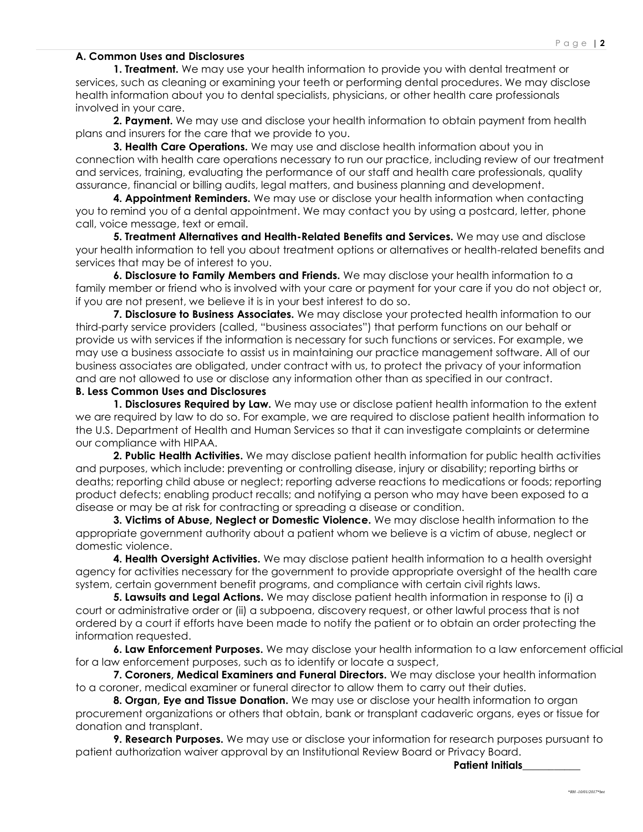## **A. Common Uses and Disclosures**

**1. Treatment.** We may use your health information to provide you with dental treatment or services, such as cleaning or examining your teeth or performing dental procedures. We may disclose health information about you to dental specialists, physicians, or other health care professionals involved in your care.

**2. Payment.** We may use and disclose your health information to obtain payment from health plans and insurers for the care that we provide to you.

**3. Health Care Operations.** We may use and disclose health information about you in connection with health care operations necessary to run our practice, including review of our treatment and services, training, evaluating the performance of our staff and health care professionals, quality assurance, financial or billing audits, legal matters, and business planning and development.

**4. Appointment Reminders.** We may use or disclose your health information when contacting you to remind you of a dental appointment. We may contact you by using a postcard, letter, phone call, voice message, text or email.

**5. Treatment Alternatives and Health-Related Benefits and Services.** We may use and disclose your health information to tell you about treatment options or alternatives or health-related benefits and services that may be of interest to you.

**6. Disclosure to Family Members and Friends.** We may disclose your health information to a family member or friend who is involved with your care or payment for your care if you do not object or, if you are not present, we believe it is in your best interest to do so.

**7. Disclosure to Business Associates.** We may disclose your protected health information to our third-party service providers (called, "business associates") that perform functions on our behalf or provide us with services if the information is necessary for such functions or services. For example, we may use a business associate to assist us in maintaining our practice management software. All of our business associates are obligated, under contract with us, to protect the privacy of your information and are not allowed to use or disclose any information other than as specified in our contract.

### **B. Less Common Uses and Disclosures**

**1. Disclosures Required by Law.** We may use or disclose patient health information to the extent we are required by law to do so. For example, we are required to disclose patient health information to the U.S. Department of Health and Human Services so that it can investigate complaints or determine our compliance with HIPAA.

**2. Public Health Activities.** We may disclose patient health information for public health activities and purposes, which include: preventing or controlling disease, injury or disability; reporting births or deaths; reporting child abuse or neglect; reporting adverse reactions to medications or foods; reporting product defects; enabling product recalls; and notifying a person who may have been exposed to a disease or may be at risk for contracting or spreading a disease or condition.

**3. Victims of Abuse, Neglect or Domestic Violence.** We may disclose health information to the appropriate government authority about a patient whom we believe is a victim of abuse, neglect or domestic violence.

**4. Health Oversight Activities.** We may disclose patient health information to a health oversight agency for activities necessary for the government to provide appropriate oversight of the health care system, certain government benefit programs, and compliance with certain civil rights laws.

**5. Lawsuits and Legal Actions.** We may disclose patient health information in response to (i) a court or administrative order or (ii) a subpoena, discovery request, or other lawful process that is not ordered by a court if efforts have been made to notify the patient or to obtain an order protecting the information requested.

**6. Law Enforcement Purposes.** We may disclose your health information to a law enforcement official for a law enforcement purposes, such as to identify or locate a suspect,

**7. Coroners, Medical Examiners and Funeral Directors.** We may disclose your health information to a coroner, medical examiner or funeral director to allow them to carry out their duties.

**8. Organ, Eye and Tissue Donation.** We may use or disclose your health information to organ procurement organizations or others that obtain, bank or transplant cadaveric organs, eyes or tissue for donation and transplant.

**9. Research Purposes.** We may use or disclose your information for research purposes pursuant to patient authorization waiver approval by an Institutional Review Board or Privacy Board.

**Patient Initials\_\_\_\_\_\_\_\_\_\_\_**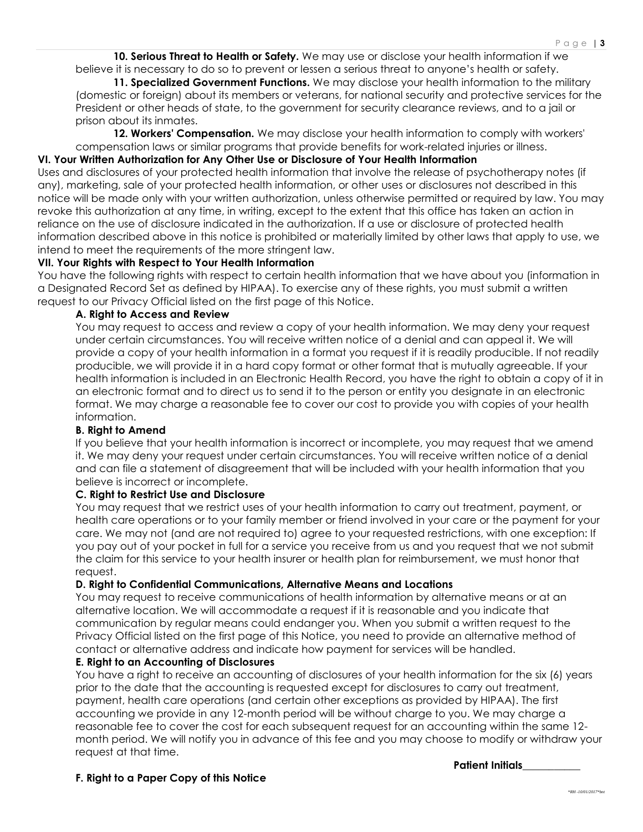**10. Serious Threat to Health or Safety.** We may use or disclose your health information if we believe it is necessary to do so to prevent or lessen a serious threat to anyone's health or safety.

**11. Specialized Government Functions.** We may disclose your health information to the military (domestic or foreign) about its members or veterans, for national security and protective services for the President or other heads of state, to the government for security clearance reviews, and to a jail or prison about its inmates.

**12. Workers' Compensation.** We may disclose your health information to comply with workers' compensation laws or similar programs that provide benefits for work-related injuries or illness.

## **VI. Your Written Authorization for Any Other Use or Disclosure of Your Health Information**

Uses and disclosures of your protected health information that involve the release of psychotherapy notes (if any), marketing, sale of your protected health information, or other uses or disclosures not described in this notice will be made only with your written authorization, unless otherwise permitted or required by law. You may revoke this authorization at any time, in writing, except to the extent that this office has taken an action in reliance on the use of disclosure indicated in the authorization. If a use or disclosure of protected health information described above in this notice is prohibited or materially limited by other laws that apply to use, we intend to meet the requirements of the more stringent law.

## **VII. Your Rights with Respect to Your Health Information**

You have the following rights with respect to certain health information that we have about you (information in a Designated Record Set as defined by HIPAA). To exercise any of these rights, you must submit a written request to our Privacy Official listed on the first page of this Notice.

## **A. Right to Access and Review**

You may request to access and review a copy of your health information. We may deny your request under certain circumstances. You will receive written notice of a denial and can appeal it. We will provide a copy of your health information in a format you request if it is readily producible. If not readily producible, we will provide it in a hard copy format or other format that is mutually agreeable. If your health information is included in an Electronic Health Record, you have the right to obtain a copy of it in an electronic format and to direct us to send it to the person or entity you designate in an electronic format. We may charge a reasonable fee to cover our cost to provide you with copies of your health information.

#### **B. Right to Amend**

If you believe that your health information is incorrect or incomplete, you may request that we amend it. We may deny your request under certain circumstances. You will receive written notice of a denial and can file a statement of disagreement that will be included with your health information that you believe is incorrect or incomplete.

## **C. Right to Restrict Use and Disclosure**

You may request that we restrict uses of your health information to carry out treatment, payment, or health care operations or to your family member or friend involved in your care or the payment for your care. We may not (and are not required to) agree to your requested restrictions, with one exception: If you pay out of your pocket in full for a service you receive from us and you request that we not submit the claim for this service to your health insurer or health plan for reimbursement, we must honor that request.

#### **D. Right to Confidential Communications, Alternative Means and Locations**

You may request to receive communications of health information by alternative means or at an alternative location. We will accommodate a request if it is reasonable and you indicate that communication by regular means could endanger you. When you submit a written request to the Privacy Official listed on the first page of this Notice, you need to provide an alternative method of contact or alternative address and indicate how payment for services will be handled.

## **E. Right to an Accounting of Disclosures**

You have a right to receive an accounting of disclosures of your health information for the six (6) years prior to the date that the accounting is requested except for disclosures to carry out treatment, payment, health care operations (and certain other exceptions as provided by HIPAA). The first accounting we provide in any 12-month period will be without charge to you. We may charge a reasonable fee to cover the cost for each subsequent request for an accounting within the same 12 month period. We will notify you in advance of this fee and you may choose to modify or withdraw your request at that time.